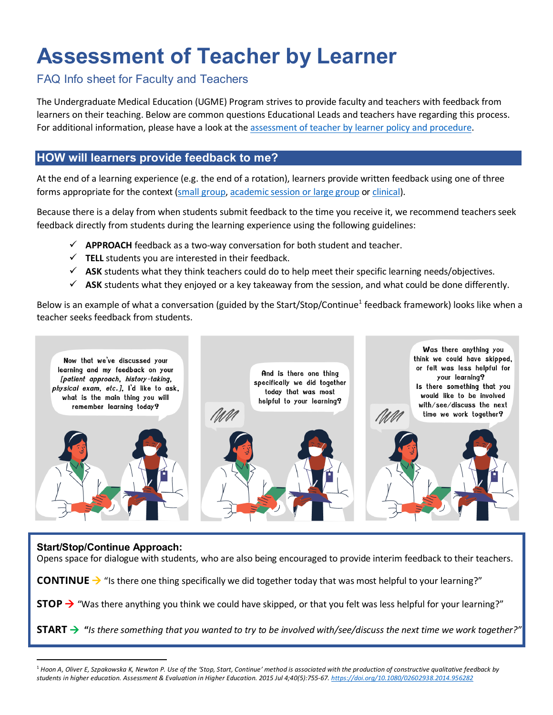# **Assessment of Teacher by Learner**

## FAQ Info sheet for Faculty and Teachers

The Undergraduate Medical Education (UGME) Program strives to provide faculty and teachers with feedback from learners on their teaching. Below are common questions Educational Leads and teachers have regarding this process. For additional information, please have a look at the [assessment of teacher by learner policy and procedure.](https://mednet.med.ubc.ca/AboutUs/PoliciesAndGuidelines2/Policies%20Guidelines/Assessment%20of%20Teachers%20by%20Learners%20(022).pdf)

## **HOW will learners provide feedback to me?**

At the end of a learning experience (e.g. the end of a rotation), learners provide written feedback using one of three forms appropriate for the context [\(small group,](https://mednet.med.ubc.ca/Teaching/Assessment-of-Teachers-by-Learners/Documents/Small%20Group.pdf) [academic session or large group](https://mednet.med.ubc.ca/Teaching/Assessment-of-Teachers-by-Learners/Documents/Academic%20Session%20or%20Large%20Group.pdf) or [clinical\)](https://mednet.med.ubc.ca/Teaching/Assessment-of-Teachers-by-Learners/Documents/Clinical.pdf).

Because there is a delay from when students submit feedback to the time you receive it, we recommend teachers seek feedback directly from students during the learning experience using the following guidelines:

- $\checkmark$  **APPROACH** feedback as a two-way conversation for both student and teacher.
- $\checkmark$  TELL students you are interested in their feedback.
- $\checkmark$  ASK students what they think teachers could do to help meet their specific learning needs/objectives.
- $\checkmark$  ASK students what they enjoyed or a key takeaway from the session, and what could be done differently.

Below is an example of what a conversation (guided by the Start/Stop/Continue<sup>[1](#page-0-0)</sup> feedback framework) looks like when a teacher seeks feedback from students.



### **Start/Stop/Continue Approach:**

Opens space for dialogue with students, who are also being encouraged to provide interim feedback to their teachers.

**CONTINUE**  $\rightarrow$  "Is there one thing specifically we did together today that was most helpful to your learning?"

**STOP** → "Was there anything you think we could have skipped, or that you felt was less helpful for your learning?"

**START "***Is there something that you wanted to try to be involved with/see/discuss the next time we work together?"*

<span id="page-0-0"></span> <sup>1</sup> *Hoon A, Oliver E, Szpakowska K, Newton P. Use of the 'Stop, Start, Continue' method is associated with the production of constructive qualitative feedback by students in higher education. Assessment & Evaluation in Higher Education. 2015 Jul 4;40(5):755-67.<https://doi.org/10.1080/02602938.2014.956282>*